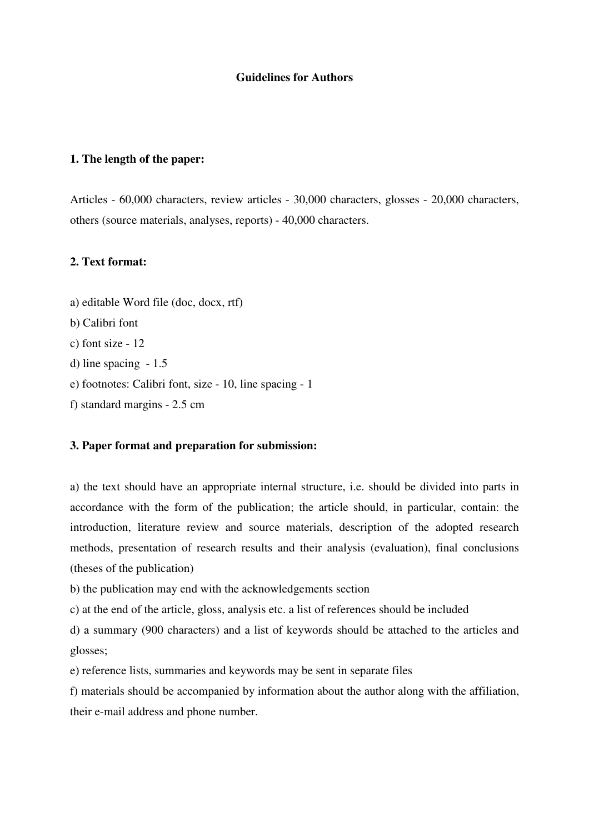## **Guidelines for Authors**

# **1. The length of the paper:**

Articles - 60,000 characters, review articles - 30,000 characters, glosses - 20,000 characters, others (source materials, analyses, reports) - 40,000 characters.

#### **2. Text format:**

a) editable Word file (doc, docx, rtf) b) Calibri font c) font size - 12 d) line spacing - 1.5 e) footnotes: Calibri font, size - 10, line spacing - 1 f) standard margins - 2.5 cm

### **3. Paper format and preparation for submission:**

a) the text should have an appropriate internal structure, i.e. should be divided into parts in accordance with the form of the publication; the article should, in particular, contain: the introduction, literature review and source materials, description of the adopted research methods, presentation of research results and their analysis (evaluation), final conclusions (theses of the publication)

b) the publication may end with the acknowledgements section

c) at the end of the article, gloss, analysis etc. a list of references should be included

d) a summary (900 characters) and a list of keywords should be attached to the articles and glosses;

e) reference lists, summaries and keywords may be sent in separate files

f) materials should be accompanied by information about the author along with the affiliation, their e-mail address and phone number.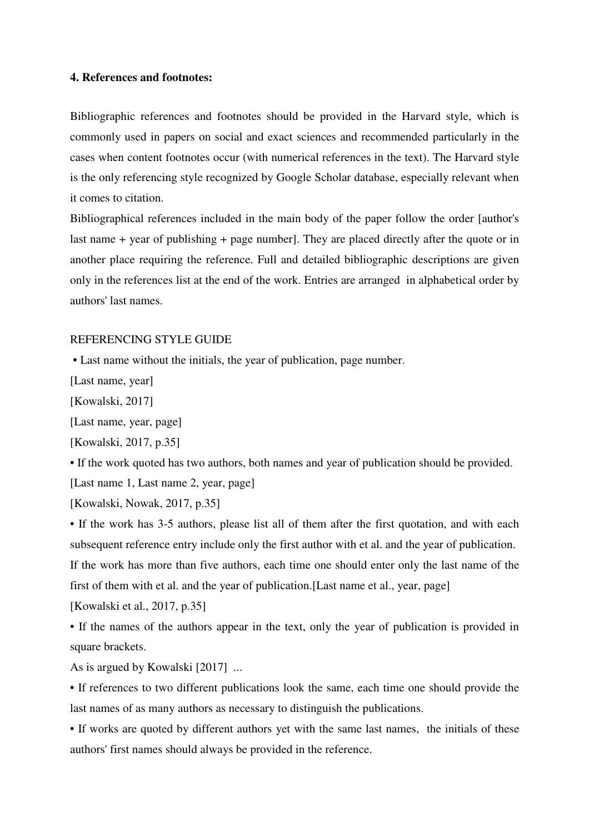## **4. References and footnotes:**

Bibliographic references and footnotes should be provided in the Harvard style, which is commonly used in papers on social and exact sciences and recommended particularly in the cases when content footnotes occur (with numerical references in the text). The Harvard style is the only referencing style recognized by Google Scholar database, especially relevant when it comes to citation.

Bibliographical references included in the main body of the paper follow the order [author's last name + year of publishing + page number]. They are placed directly after the quote or in another place requiring the reference. Full and detailed bibliographic descriptions are given only in the references list at the end of the work. Entries are arranged in alphabetical order by authors' last names.

#### REFERENCING STYLE GUIDE

• Last name without the initials, the year of publication, page number.

[Last name, year]

[Kowalski, 2017]

[Last name, year, page]

[Kowalski, 2017, p.35]

• If the work quoted has two authors, both names and year of publication should be provided.

[Last name 1, Last name 2, year, page]

[Kowalski, Nowak, 2017, p.35]

• If the work has 3-5 authors, please list all of them after the first quotation, and with each subsequent reference entry include only the first author with et al. and the year of publication. If the work has more than five authors, each time one should enter only the last name of the first of them with et al. and the year of publication.[Last name et al., year, page] [Kowalski et al., 2017, p.35]

• If the names of the authors appear in the text, only the year of publication is provided in square brackets.

As is argued by Kowalski [2017] ...

• If references to two different publications look the same, each time one should provide the last names of as many authors as necessary to distinguish the publications.

• If works are quoted by different authors yet with the same last names, the initials of these authors' first names should always be provided in the reference.